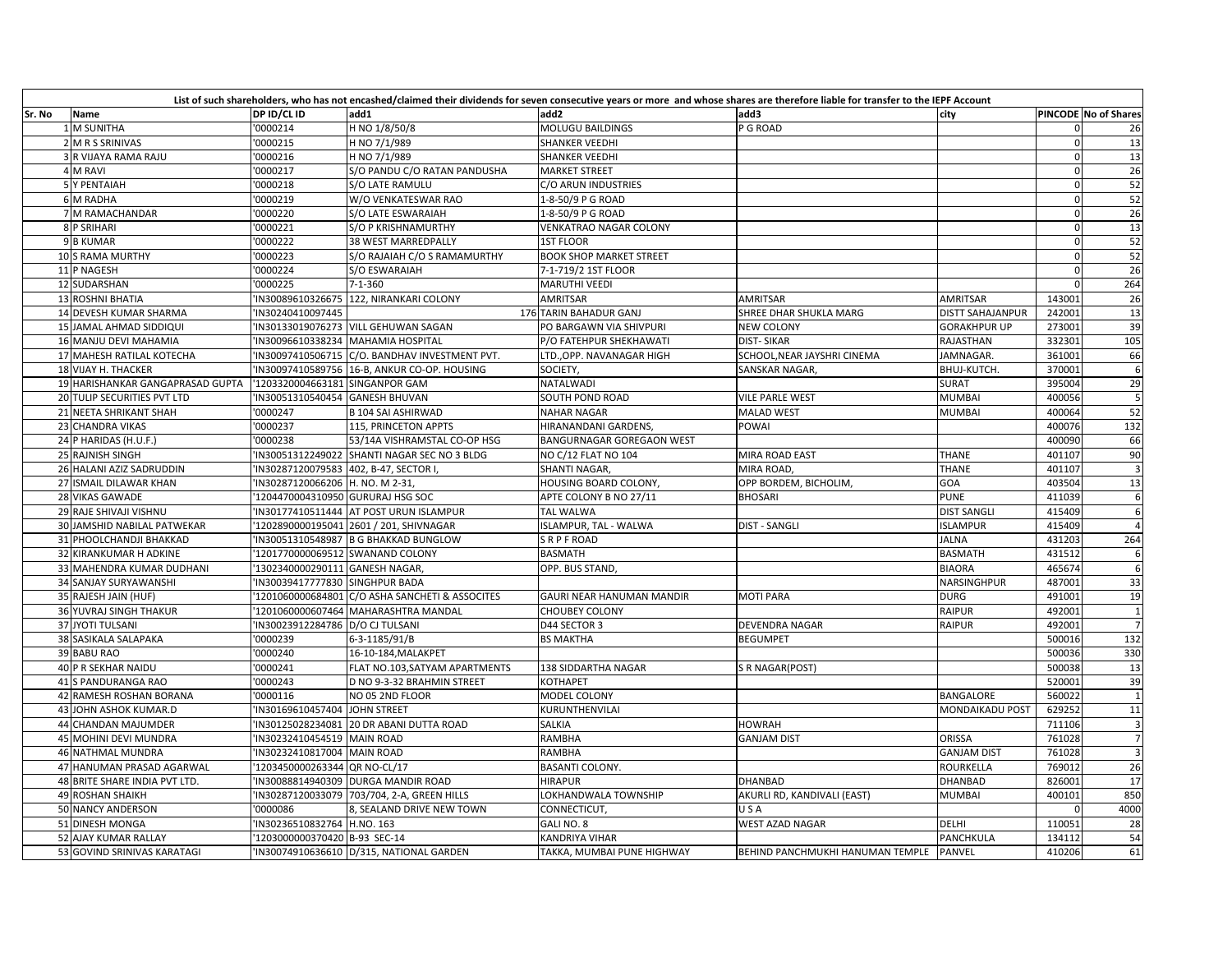| Sr. No | Name                             | DP ID/CL ID                      | List of such shareholders, who has not encashed/claimed their dividends for seven consecutive years or more and whose shares are therefore liable for transfer to the IEPF Account<br>add1 | add2                             | add3                             | city                |             | PINCODE No of Shares    |
|--------|----------------------------------|----------------------------------|--------------------------------------------------------------------------------------------------------------------------------------------------------------------------------------------|----------------------------------|----------------------------------|---------------------|-------------|-------------------------|
|        | 1 M SUNITHA                      | '0000214                         | H NO 1/8/50/8                                                                                                                                                                              | MOLUGU BAILDINGS                 | P G ROAD                         |                     | 0           | 26                      |
|        | 2 M R S SRINIVAS                 | '0000215                         | H NO 7/1/989                                                                                                                                                                               | <b>SHANKER VEEDHI</b>            |                                  |                     | $\Omega$    | 13                      |
|        | 3 R VIJAYA RAMA RAJU             | 0000216                          | H NO 7/1/989                                                                                                                                                                               | <b>SHANKER VEEDHI</b>            |                                  |                     | $\Omega$    | 13                      |
|        | 4 M RAVI                         | '0000217                         | S/O PANDU C/O RATAN PANDUSHA                                                                                                                                                               | <b>MARKET STREET</b>             |                                  |                     | $\Omega$    | 26                      |
|        | 5 Y PENTAIAH                     | '0000218                         | S/O LATE RAMULU                                                                                                                                                                            | C/O ARUN INDUSTRIES              |                                  |                     | $\mathbf 0$ | 52                      |
|        | <b>6 M RADHA</b>                 | '0000219                         | W/O VENKATESWAR RAO                                                                                                                                                                        | 1-8-50/9 P G ROAD                |                                  |                     | $\Omega$    | 52                      |
|        | 7 M RAMACHANDAR                  | 0000220                          | S/O LATE ESWARAIAH                                                                                                                                                                         | 1-8-50/9 P G ROAD                |                                  |                     | $\Omega$    | 26                      |
|        | <b>8 P SRIHARI</b>               | '0000221                         | S/O P KRISHNAMURTHY                                                                                                                                                                        | <b>VENKATRAO NAGAR COLONY</b>    |                                  |                     | $\Omega$    | 13                      |
|        | 9 B KUMAR                        | '0000222                         | 38 WEST MARREDPALLY                                                                                                                                                                        | <b>1ST FLOOR</b>                 |                                  |                     | $\Omega$    | 52                      |
|        | 10 S RAMA MURTHY                 | '0000223                         | S/O RAJAIAH C/O S RAMAMURTHY                                                                                                                                                               | <b>BOOK SHOP MARKET STREET</b>   |                                  |                     | $\Omega$    | 52                      |
|        | 11 P NAGESH                      | 0000224                          | S/O ESWARAIAH                                                                                                                                                                              | 7-1-719/2 1ST FLOOR              |                                  |                     | $\Omega$    | 26                      |
|        | 12 SUDARSHAN                     | '0000225                         |                                                                                                                                                                                            | <b>MARUTHI VEEDI</b>             |                                  |                     | $\Omega$    | 264                     |
|        |                                  |                                  | $7 - 1 - 360$                                                                                                                                                                              |                                  |                                  |                     |             |                         |
|        | 13 ROSHNI BHATIA                 | IN30089610326675                 | 122, NIRANKARI COLONY                                                                                                                                                                      | AMRITSAR                         | AMRITSAR                         | <b>AMRITSAR</b>     | 143001      | 26                      |
|        | <b>14 DEVESH KUMAR SHARMA</b>    | IN30240410097445                 |                                                                                                                                                                                            | 176 TARIN BAHADUR GANJ           | SHREE DHAR SHUKLA MARG           | DISTT SAHAJANPUR    | 242001      | 13                      |
|        | 15 JAMAL AHMAD SIDDIQUI          |                                  | IN30133019076273 VILL GEHUWAN SAGAN                                                                                                                                                        | PO BARGAWN VIA SHIVPURI          | <b>NEW COLONY</b>                | <b>GORAKHPUR UP</b> | 273001      | 39                      |
|        | 16 MANJU DEVI MAHAMIA            |                                  | IN30096610338234 MAHAMIA HOSPITAL                                                                                                                                                          | P/O FATEHPUR SHEKHAWATI          | <b>DIST-SIKAR</b>                | RAJASTHAN           | 332301      | 105                     |
|        | 17 MAHESH RATILAL KOTECHA        |                                  | IN30097410506715 C/O. BANDHAV INVESTMENT PVT.                                                                                                                                              | LTD., OPP. NAVANAGAR HIGH        | SCHOOL, NEAR JAYSHRI CINEMA      | JAMNAGAR.           | 361001      | 66                      |
|        | 18 VIJAY H. THACKER              |                                  | IN30097410589756 16-B, ANKUR CO-OP. HOUSING                                                                                                                                                | SOCIETY,                         | SANSKAR NAGAR,                   | BHUJ-KUTCH.         | 370001      |                         |
|        | 19 HARISHANKAR GANGAPRASAD GUPTA | '1203320004663181 SINGANPOR GAM  |                                                                                                                                                                                            | NATALWADI                        |                                  | SURAT               | 395004      | 29                      |
|        | 20 TULIP SECURITIES PVT LTD      | IN30051310540454 GANESH BHUVAN   |                                                                                                                                                                                            | <b>SOUTH POND ROAD</b>           | <b>VILE PARLE WEST</b>           | MUMBAI              | 400056      | 5                       |
|        | 21 NEETA SHRIKANT SHAH           | '0000247                         | <b>B 104 SAI ASHIRWAD</b>                                                                                                                                                                  | <b>NAHAR NAGAR</b>               | <b>MALAD WEST</b>                | MUMBAI              | 400064      | 52                      |
|        | 23 CHANDRA VIKAS                 | '0000237                         | 115, PRINCETON APPTS                                                                                                                                                                       | HIRANANDANI GARDENS,             | <b>POWAI</b>                     |                     | 400076      | $\overline{132}$        |
|        | 24 P HARIDAS (H.U.F.)            | '0000238                         | 53/14A VISHRAMSTAL CO-OP HSG                                                                                                                                                               | <b>BANGURNAGAR GOREGAON WEST</b> |                                  |                     | 40009C      | 66                      |
|        | 25 RAJNISH SINGH                 |                                  | IN30051312249022 SHANTI NAGAR SEC NO 3 BLDG                                                                                                                                                | NO C/12 FLAT NO 104              | MIRA ROAD EAST                   | THANE               | 401107      | 90                      |
|        | 26 HALANI AZIZ SADRUDDIN         | IN30287120079583                 | 402, B-47, SECTOR I,                                                                                                                                                                       | <b>SHANTI NAGAR</b>              | MIRA ROAD                        | <b>THANE</b>        | 401107      | $\overline{\mathbf{3}}$ |
|        | 27 ISMAIL DILAWAR KHAN           | IN30287120066206 H. NO. M 2-31   |                                                                                                                                                                                            | HOUSING BOARD COLONY,            | OPP BORDEM, BICHOLIM,            | GOA                 | 403504      | 13                      |
|        | 28 VIKAS GAWADE                  | 1204470004310950 GURURAJ HSG SOC |                                                                                                                                                                                            | APTE COLONY B NO 27/11           | <b>BHOSARI</b>                   | <b>PUNE</b>         | 411039      | 6                       |
|        | 29 RAJE SHIVAJI VISHNU           |                                  | IN30177410511444 AT POST URUN ISLAMPUR                                                                                                                                                     | <b>TAL WALWA</b>                 |                                  | <b>DIST SANGLI</b>  | 415409      |                         |
|        | 30 JAMSHID NABILAL PATWEKAR      |                                  | '1202890000195041 2601 / 201, SHIVNAGAR                                                                                                                                                    | <b>ISLAMPUR, TAL - WALWA</b>     | <b>DIST - SANGLI</b>             | <b>ISLAMPUR</b>     | 415409      |                         |
|        | 31 PHOOLCHANDJI BHAKKAD          | 'IN30051310548987                | <b>B G BHAKKAD BUNGLOW</b>                                                                                                                                                                 | <b>SRPFROAD</b>                  |                                  | <b>JALNA</b>        | 431203      | 264                     |
|        | 32 KIRANKUMAR H ADKINE           |                                  | '1201770000069512 SWANAND COLONY                                                                                                                                                           | <b>BASMATH</b>                   |                                  | <b>BASMATH</b>      | 431512      |                         |
|        | 33 MAHENDRA KUMAR DUDHANI        | '1302340000290111 GANESH NAGAR,  |                                                                                                                                                                                            | OPP. BUS STAND,                  |                                  | <b>BIAORA</b>       | 465674      |                         |
|        | 34 SANJAY SURYAWANSHI            | IN30039417777830 SINGHPUR BADA   |                                                                                                                                                                                            |                                  |                                  | NARSINGHPUR         | 487001      | 33                      |
|        | 35 RAJESH JAIN (HUF)             |                                  | '1201060000684801 C/O ASHA SANCHETI & ASSOCITES                                                                                                                                            | GAURI NEAR HANUMAN MANDIR        | <b>MOTI PARA</b>                 | <b>DURG</b>         | 491001      | 19                      |
|        | 36 YUVRAJ SINGH THAKUR           |                                  | 1201060000607464 MAHARASHTRA MANDAL                                                                                                                                                        | <b>CHOUBEY COLONY</b>            |                                  | <b>RAIPUR</b>       | 492001      | $\overline{1}$          |
|        | 37 JYOTI TULSANI                 | IN30023912284786 D/O CJ TULSANI  |                                                                                                                                                                                            | D44 SECTOR 3                     | <b>DEVENDRA NAGAR</b>            | <b>RAIPUR</b>       | 492001      | $\overline{7}$          |
|        | 38 SASIKALA SALAPAKA             | '0000239                         | 6-3-1185/91/B                                                                                                                                                                              | <b>BS MAKTHA</b>                 | <b>BEGUMPET</b>                  |                     | 500016      | 132                     |
|        | 39 BABU RAO                      | '0000240                         | 16-10-184, MALAKPET                                                                                                                                                                        |                                  |                                  |                     | 500036      | 330                     |
|        | 40 P R SEKHAR NAIDU              | '0000241                         | FLAT NO.103, SATYAM APARTMENTS                                                                                                                                                             | 138 SIDDARTHA NAGAR              | S R NAGAR(POST)                  |                     | 500038      | 13                      |
|        | 41 S PANDURANGA RAO              | '0000243                         | D NO 9-3-32 BRAHMIN STREET                                                                                                                                                                 | KOTHAPET                         |                                  |                     | 520001      | 39                      |
|        | 42 RAMESH ROSHAN BORANA          | 0000116                          | NO 05 2ND FLOOR                                                                                                                                                                            | MODEL COLONY                     |                                  | <b>BANGALORE</b>    | 560022      | $\mathbf{1}$            |
|        | 43 JOHN ASHOK KUMAR.D            | IN30169610457404 JOHN STREET     |                                                                                                                                                                                            | KURUNTHENVILAI                   |                                  | MONDAIKADU POST     | 629252      | 11                      |
|        | 44 CHANDAN MAJUMDER              | IN30125028234081                 | 20 DR ABANI DUTTA ROAD                                                                                                                                                                     | SALKIA                           | <b>HOWRAH</b>                    |                     | 711106      | $\overline{\mathbf{3}}$ |
|        | 45 MOHINI DEVI MUNDRA            | IN30232410454519 MAIN ROAD       |                                                                                                                                                                                            | RAMBHA                           | <b>GANJAM DIST</b>               | ORISSA              | 761028      |                         |
|        | <b>46 NATHMAL MUNDRA</b>         | 'IN30232410817004 MAIN ROAD      |                                                                                                                                                                                            | <b>RAMBHA</b>                    |                                  | <b>GANJAM DIST</b>  | 761028      | $\overline{3}$          |
|        | 47 HANUMAN PRASAD AGARWAL        | '1203450000263344 QR NO-CL/17    |                                                                                                                                                                                            | <b>BASANTI COLONY.</b>           |                                  | <b>ROURKELLA</b>    | 769012      | 26                      |
|        | 48 BRITE SHARE INDIA PVT LTD.    | IN30088814940309                 | <b>DURGA MANDIR ROAD</b>                                                                                                                                                                   | <b>HIRAPUR</b>                   | <b>DHANBAD</b>                   | DHANBAD             | 826001      | 17                      |
|        | <b>49 ROSHAN SHAIKH</b>          |                                  | IN30287120033079 703/704, 2-A, GREEN HILLS                                                                                                                                                 | LOKHANDWALA TOWNSHIP             | AKURLI RD, KANDIVALI (EAST)      | <b>MUMBAI</b>       | 400101      | 850                     |
|        | 50 NANCY ANDERSON                | '0000086                         | 8, SEALAND DRIVE NEW TOWN                                                                                                                                                                  | CONNECTICUT,                     | USA                              |                     |             | 4000                    |
|        | 51 DINESH MONGA                  | IN30236510832764 H.NO. 163       |                                                                                                                                                                                            | GALI NO. 8                       | <b>WEST AZAD NAGAR</b>           | DELHI               | 110051      | 28                      |
|        | 52 AJAY KUMAR RALLAY             | '1203000000370420 B-93 SEC-14    |                                                                                                                                                                                            | <b>KANDRIYA VIHAR</b>            |                                  | PANCHKULA           | 134112      | 54                      |
|        | 53 GOVIND SRINIVAS KARATAGI      |                                  | 'IN30074910636610 D/315, NATIONAL GARDEN                                                                                                                                                   | TAKKA, MUMBAI PUNE HIGHWAY       | BEHIND PANCHMUKHI HANUMAN TEMPLE | <b>PANVEL</b>       | 410206      | 61                      |